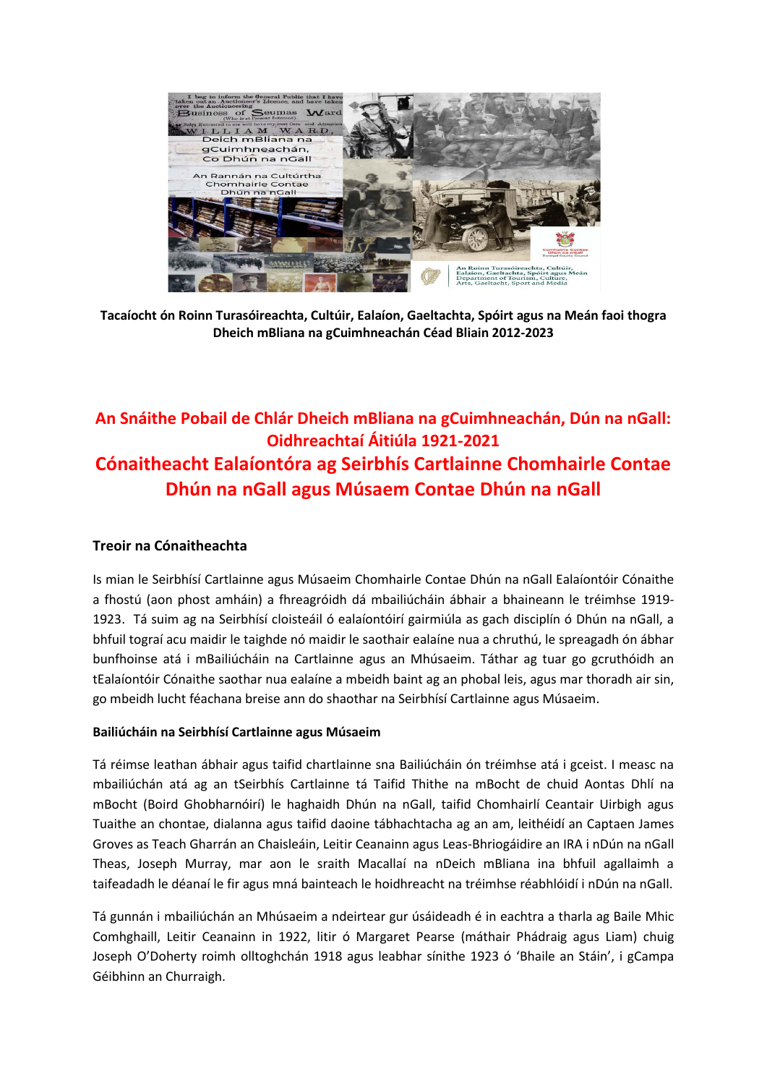

**Tacaíocht ón Roinn Turasóireachta, Cultúir, Ealaíon, Gaeltachta, Spóirt agus na Meán faoi thogra Dheich mBliana na gCuimhneachán Céad Bliain 2012-2023**

# **An Snáithe Pobail de Chlár Dheich mBliana na gCuimhneachán, Dún na nGall: Oidhreachtaí Áitiúla 1921-2021 Cónaitheacht Ealaíontóra ag Seirbhís Cartlainne Chomhairle Contae Dhún na nGall agus Músaem Contae Dhún na nGall**

## **Treoir na Cónaitheachta**

Is mian le Seirbhísí Cartlainne agus Músaeim Chomhairle Contae Dhún na nGall Ealaíontóir Cónaithe a fhostú (aon phost amháin) a fhreagróidh dá mbailiúcháin ábhair a bhaineann le tréimhse 1919- 1923. Tá suim ag na Seirbhísí cloisteáil ó ealaíontóirí gairmiúla as gach disciplín ó Dhún na nGall, a bhfuil tograí acu maidir le taighde nó maidir le saothair ealaíne nua a chruthú, le spreagadh ón ábhar bunfhoinse atá i mBailiúcháin na Cartlainne agus an Mhúsaeim. Táthar ag tuar go gcruthóidh an tEalaíontóir Cónaithe saothar nua ealaíne a mbeidh baint ag an phobal leis, agus mar thoradh air sin, go mbeidh lucht féachana breise ann do shaothar na Seirbhísí Cartlainne agus Músaeim.

## **Bailiúcháin na Seirbhísí Cartlainne agus Músaeim**

Tá réimse leathan ábhair agus taifid chartlainne sna Bailiúcháin ón tréimhse atá i gceist. I measc na mbailiúchán atá ag an tSeirbhís Cartlainne tá Taifid Thithe na mBocht de chuid Aontas Dhlí na mBocht (Boird Ghobharnóirí) le haghaidh Dhún na nGall, taifid Chomhairlí Ceantair Uirbigh agus Tuaithe an chontae, dialanna agus taifid daoine tábhachtacha ag an am, leithéidí an Captaen James Groves as Teach Gharrán an Chaisleáin, Leitir Ceanainn agus Leas-Bhriogáidire an IRA i nDún na nGall Theas, Joseph Murray, mar aon le sraith Macallaí na nDeich mBliana ina bhfuil agallaimh a taifeadadh le déanaí le fir agus mná bainteach le hoidhreacht na tréimhse réabhlóidí i nDún na nGall.

Tá gunnán i mbailiúchán an Mhúsaeim a ndeirtear gur úsáideadh é in eachtra a tharla ag Baile Mhic Comhghaill, Leitir Ceanainn in 1922, litir ó Margaret Pearse (máthair Phádraig agus Liam) chuig Joseph O'Doherty roimh olltoghchán 1918 agus leabhar sínithe 1923 ó 'Bhaile an Stáin', i gCampa Géibhinn an Churraigh.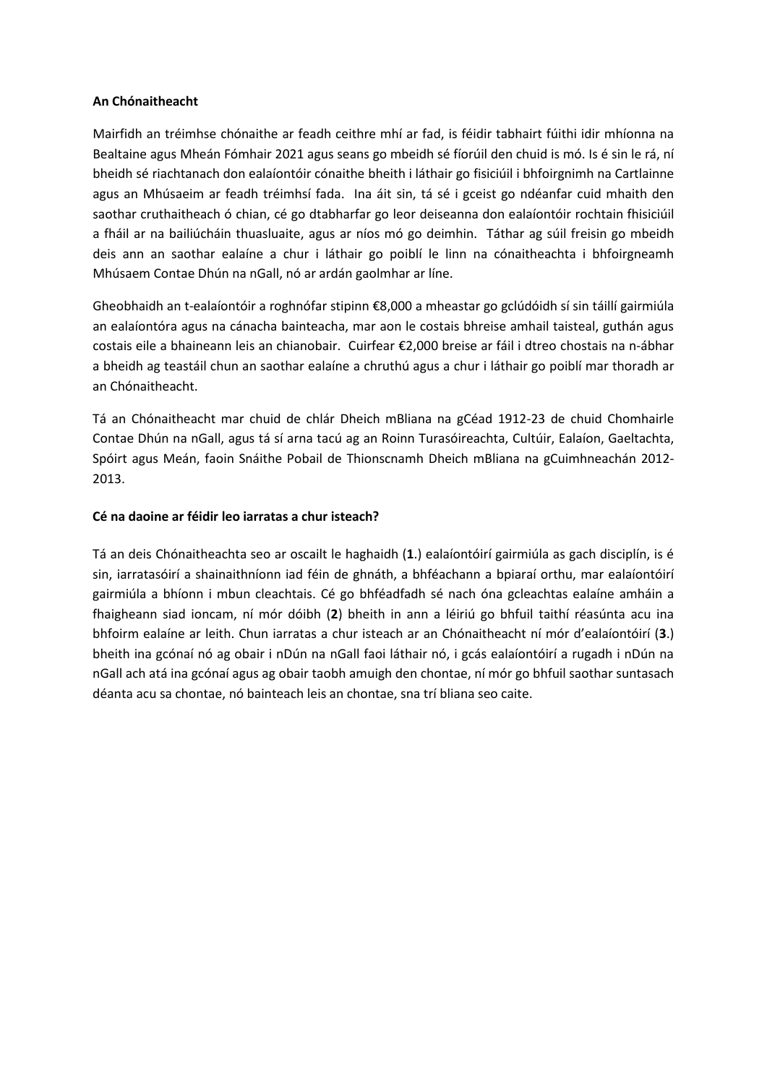#### **An Chónaitheacht**

Mairfidh an tréimhse chónaithe ar feadh ceithre mhí ar fad, is féidir tabhairt fúithi idir mhíonna na Bealtaine agus Mheán Fómhair 2021 agus seans go mbeidh sé fíorúil den chuid is mó. Is é sin le rá, ní bheidh sé riachtanach don ealaíontóir cónaithe bheith i láthair go fisiciúil i bhfoirgnimh na Cartlainne agus an Mhúsaeim ar feadh tréimhsí fada. Ina áit sin, tá sé i gceist go ndéanfar cuid mhaith den saothar cruthaitheach ó chian, cé go dtabharfar go leor deiseanna don ealaíontóir rochtain fhisiciúil a fháil ar na bailiúcháin thuasluaite, agus ar níos mó go deimhin. Táthar ag súil freisin go mbeidh deis ann an saothar ealaíne a chur i láthair go poiblí le linn na cónaitheachta i bhfoirgneamh Mhúsaem Contae Dhún na nGall, nó ar ardán gaolmhar ar líne.

Gheobhaidh an t-ealaíontóir a roghnófar stipinn €8,000 a mheastar go gclúdóidh sí sin táillí gairmiúla an ealaíontóra agus na cánacha bainteacha, mar aon le costais bhreise amhail taisteal, guthán agus costais eile a bhaineann leis an chianobair. Cuirfear €2,000 breise ar fáil i dtreo chostais na n-ábhar a bheidh ag teastáil chun an saothar ealaíne a chruthú agus a chur i láthair go poiblí mar thoradh ar an Chónaitheacht.

Tá an Chónaitheacht mar chuid de chlár Dheich mBliana na gCéad 1912-23 de chuid Chomhairle Contae Dhún na nGall, agus tá sí arna tacú ag an Roinn Turasóireachta, Cultúir, Ealaíon, Gaeltachta, Spóirt agus Meán, faoin Snáithe Pobail de Thionscnamh Dheich mBliana na gCuimhneachán 2012- 2013.

## **Cé na daoine ar féidir leo iarratas a chur isteach?**

Tá an deis Chónaitheachta seo ar oscailt le haghaidh (**1**.) ealaíontóirí gairmiúla as gach disciplín, is é sin, iarratasóirí a shainaithníonn iad féin de ghnáth, a bhféachann a bpiaraí orthu, mar ealaíontóirí gairmiúla a bhíonn i mbun cleachtais. Cé go bhféadfadh sé nach óna gcleachtas ealaíne amháin a fhaigheann siad ioncam, ní mór dóibh (**2**) bheith in ann a léiriú go bhfuil taithí réasúnta acu ina bhfoirm ealaíne ar leith. Chun iarratas a chur isteach ar an Chónaitheacht ní mór d'ealaíontóirí (**3**.) bheith ina gcónaí nó ag obair i nDún na nGall faoi láthair nó, i gcás ealaíontóirí a rugadh i nDún na nGall ach atá ina gcónaí agus ag obair taobh amuigh den chontae, ní mór go bhfuil saothar suntasach déanta acu sa chontae, nó bainteach leis an chontae, sna trí bliana seo caite.